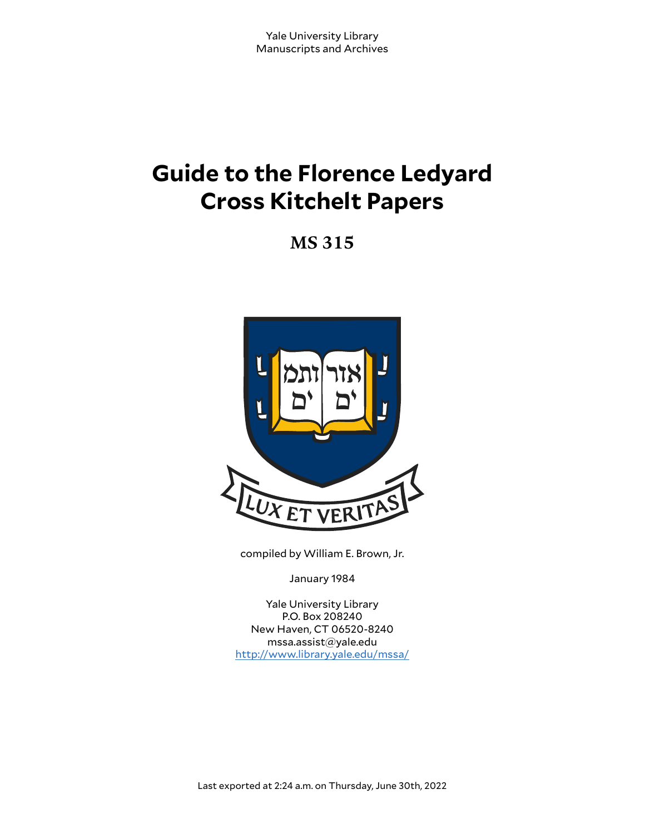# **Guide to the Florence Ledyard Cross Kitchelt Papers**

**MS 315**



compiled by William E. Brown, Jr.

January 1984

Yale University Library P.O. Box 208240 New Haven, CT 06520-8240 mssa.assist@yale.edu <http://www.library.yale.edu/mssa/>

Last exported at 2:24 a.m. on Thursday, June 30th, 2022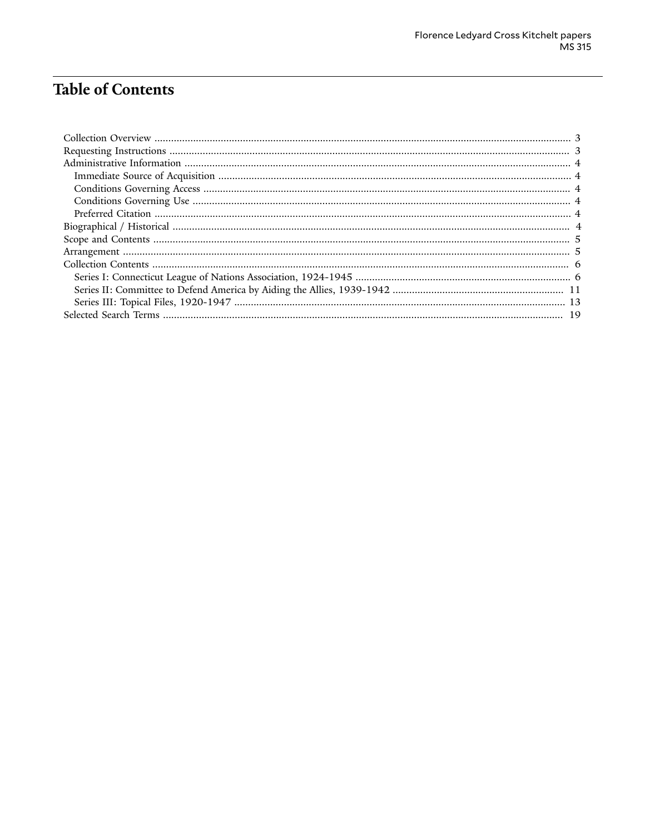# **Table of Contents**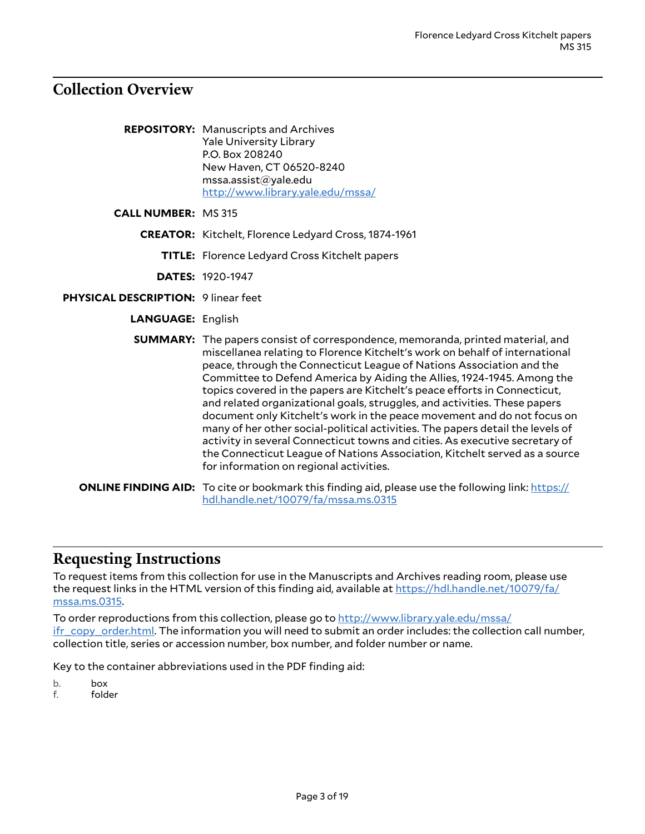# <span id="page-2-0"></span>**Collection Overview**

| <b>REPOSITORY:</b> Manuscripts and Archives |
|---------------------------------------------|
| <b>Yale University Library</b>              |
| P.O. Box 208240                             |
| New Haven, CT 06520-8240                    |
| mssa.assist@yale.edu                        |
| http://www.library.yale.edu/mssa/           |

- **CALL NUMBER:** MS 315
	- **CREATOR:** Kitchelt, Florence Ledyard Cross, 1874-1961
		- **TITLE:** Florence Ledyard Cross Kitchelt papers

**DATES:** 1920-1947

- **PHYSICAL DESCRIPTION:** 9 linear feet
	- **LANGUAGE:** English

| <b>SUMMARY:</b> The papers consist of correspondence, memoranda, printed material, and<br>miscellanea relating to Florence Kitchelt's work on behalf of international<br>peace, through the Connecticut League of Nations Association and the<br>Committee to Defend America by Aiding the Allies, 1924-1945. Among the<br>topics covered in the papers are Kitchelt's peace efforts in Connecticut,<br>and related organizational goals, struggles, and activities. These papers<br>document only Kitchelt's work in the peace movement and do not focus on<br>many of her other social-political activities. The papers detail the levels of<br>activity in several Connecticut towns and cities. As executive secretary of<br>the Connecticut League of Nations Association, Kitchelt served as a source<br>for information on regional activities. |
|--------------------------------------------------------------------------------------------------------------------------------------------------------------------------------------------------------------------------------------------------------------------------------------------------------------------------------------------------------------------------------------------------------------------------------------------------------------------------------------------------------------------------------------------------------------------------------------------------------------------------------------------------------------------------------------------------------------------------------------------------------------------------------------------------------------------------------------------------------|
| <b>I INF FINDING AID:</b> To cite or bookmark this finding aid please use the following link: https://                                                                                                                                                                                                                                                                                                                                                                                                                                                                                                                                                                                                                                                                                                                                                 |

**ONLINE FINDING AID:** To cite or bookmark this finding aid, please use the following link: [https://](https://hdl.handle.net/10079/fa/mssa.ms.0315) [hdl.handle.net/10079/fa/mssa.ms.0315](https://hdl.handle.net/10079/fa/mssa.ms.0315)

# <span id="page-2-1"></span>**Requesting Instructions**

To request items from this collection for use in the Manuscripts and Archives reading room, please use the request links in the HTML version of this finding aid, available at [https://hdl.handle.net/10079/fa/](https://hdl.handle.net/10079/fa/mssa.ms.0315) [mssa.ms.0315.](https://hdl.handle.net/10079/fa/mssa.ms.0315)

To order reproductions from this collection, please go to [http://www.library.yale.edu/mssa/](http://www.library.yale.edu/mssa/ifr_copy_order.html) [ifr\\_copy\\_order.html.](http://www.library.yale.edu/mssa/ifr_copy_order.html) The information you will need to submit an order includes: the collection call number, collection title, series or accession number, box number, and folder number or name.

Key to the container abbreviations used in the PDF finding aid:

b. box

f. folder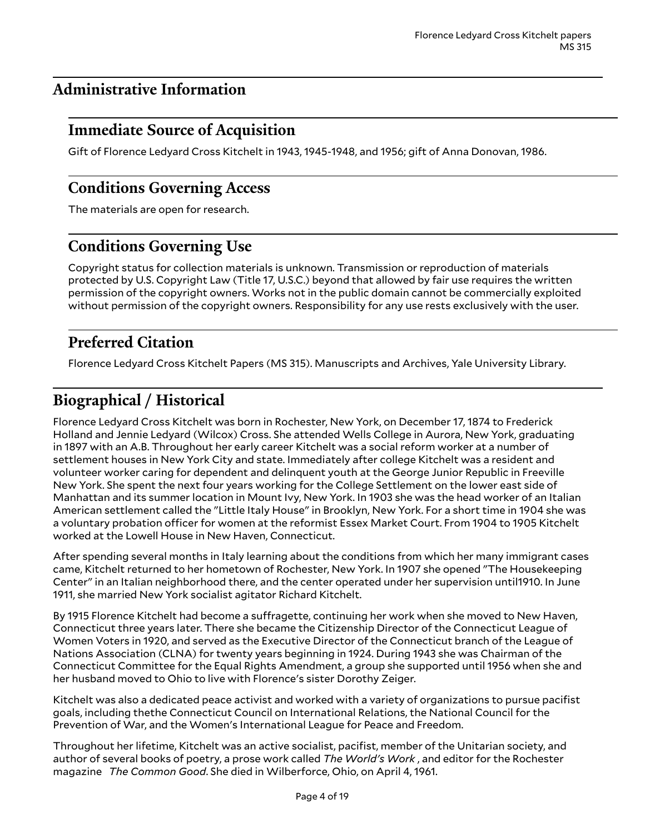# <span id="page-3-0"></span>**Administrative Information**

# <span id="page-3-1"></span>**Immediate Source of Acquisition**

Gift of Florence Ledyard Cross Kitchelt in 1943, 1945-1948, and 1956; gift of Anna Donovan, 1986.

# <span id="page-3-2"></span>**Conditions Governing Access**

The materials are open for research.

# <span id="page-3-3"></span>**Conditions Governing Use**

Copyright status for collection materials is unknown. Transmission or reproduction of materials protected by U.S. Copyright Law (Title 17, U.S.C.) beyond that allowed by fair use requires the written permission of the copyright owners. Works not in the public domain cannot be commercially exploited without permission of the copyright owners. Responsibility for any use rests exclusively with the user.

# <span id="page-3-4"></span>**Preferred Citation**

Florence Ledyard Cross Kitchelt Papers (MS 315). Manuscripts and Archives, Yale University Library.

# <span id="page-3-5"></span>**Biographical / Historical**

Florence Ledyard Cross Kitchelt was born in Rochester, New York, on December 17, 1874 to Frederick Holland and Jennie Ledyard (Wilcox) Cross. She attended Wells College in Aurora, New York, graduating in 1897 with an A.B. Throughout her early career Kitchelt was a social reform worker at a number of settlement houses in New York City and state. Immediately after college Kitchelt was a resident and volunteer worker caring for dependent and delinquent youth at the George Junior Republic in Freeville New York. She spent the next four years working for the College Settlement on the lower east side of Manhattan and its summer location in Mount Ivy, New York. In 1903 she was the head worker of an Italian American settlement called the "Little Italy House" in Brooklyn, New York. For a short time in 1904 she was a voluntary probation officer for women at the reformist Essex Market Court. From 1904 to 1905 Kitchelt worked at the Lowell House in New Haven, Connecticut.

After spending several months in Italy learning about the conditions from which her many immigrant cases came, Kitchelt returned to her hometown of Rochester, New York. In 1907 she opened "The Housekeeping Center" in an Italian neighborhood there, and the center operated under her supervision until1910. In June 1911, she married New York socialist agitator Richard Kitchelt.

By 1915 Florence Kitchelt had become a suffragette, continuing her work when she moved to New Haven, Connecticut three years later. There she became the Citizenship Director of the Connecticut League of Women Voters in 1920, and served as the Executive Director of the Connecticut branch of the League of Nations Association (CLNA) for twenty years beginning in 1924. During 1943 she was Chairman of the Connecticut Committee for the Equal Rights Amendment, a group she supported until 1956 when she and her husband moved to Ohio to live with Florence's sister Dorothy Zeiger.

Kitchelt was also a dedicated peace activist and worked with a variety of organizations to pursue pacifist goals, including thethe Connecticut Council on International Relations, the National Council for the Prevention of War, and the Women's International League for Peace and Freedom.

Throughout her lifetime, Kitchelt was an active socialist, pacifist, member of the Unitarian society, and author of several books of poetry, a prose work called *The World's Work* , and editor for the Rochester magazine *The Common Good*. She died in Wilberforce, Ohio, on April 4, 1961.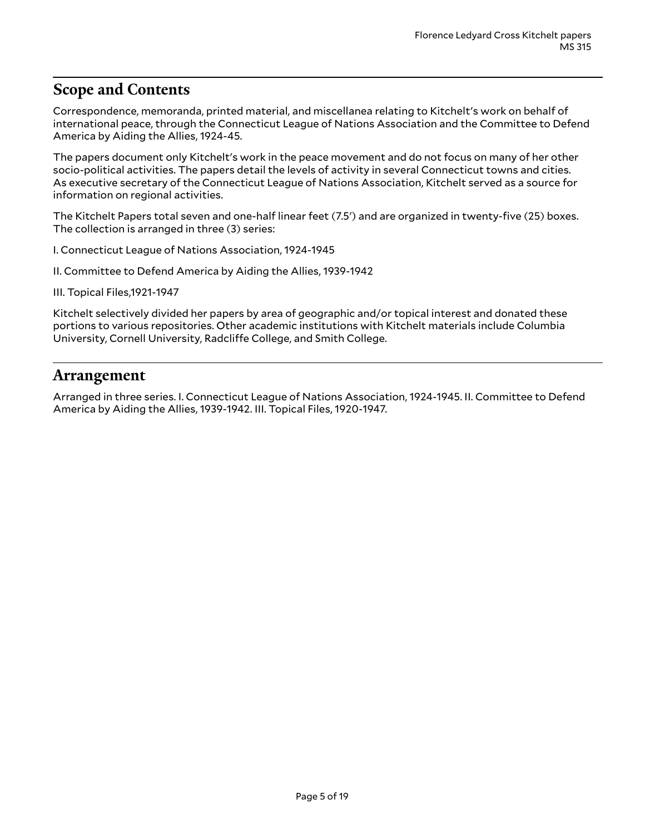# <span id="page-4-0"></span>**Scope and Contents**

Correspondence, memoranda, printed material, and miscellanea relating to Kitchelt's work on behalf of international peace, through the Connecticut League of Nations Association and the Committee to Defend America by Aiding the Allies, 1924-45.

The papers document only Kitchelt's work in the peace movement and do not focus on many of her other socio-political activities. The papers detail the levels of activity in several Connecticut towns and cities. As executive secretary of the Connecticut League of Nations Association, Kitchelt served as a source for information on regional activities.

The Kitchelt Papers total seven and one-half linear feet (7.5') and are organized in twenty-five (25) boxes. The collection is arranged in three (3) series:

I. Connecticut League of Nations Association, 1924-1945

II. Committee to Defend America by Aiding the Allies, 1939-1942

III. Topical Files,1921-1947

Kitchelt selectively divided her papers by area of geographic and/or topical interest and donated these portions to various repositories. Other academic institutions with Kitchelt materials include Columbia University, Cornell University, Radcliffe College, and Smith College.

#### <span id="page-4-1"></span>**Arrangement**

Arranged in three series. I. Connecticut League of Nations Association, 1924-1945. II. Committee to Defend America by Aiding the Allies, 1939-1942. III. Topical Files, 1920-1947.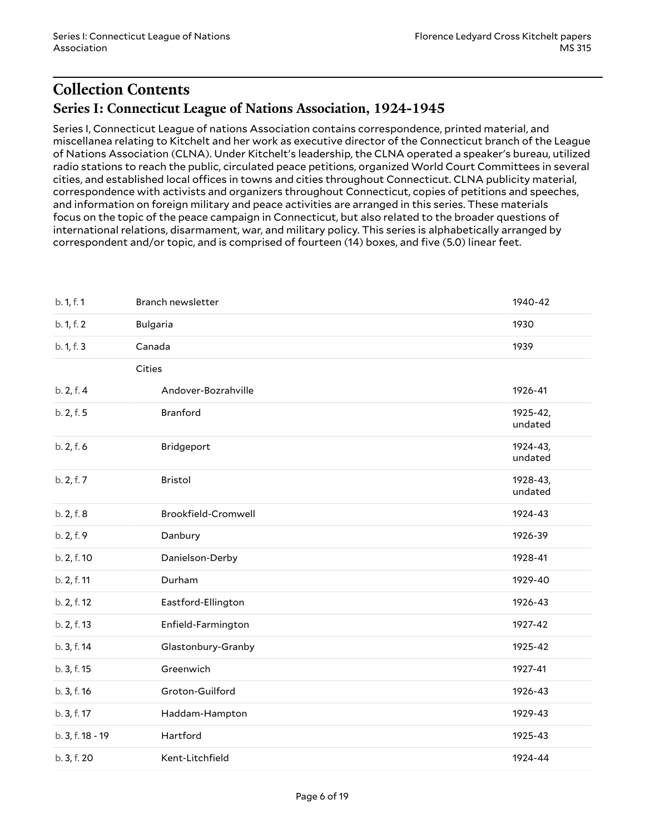# <span id="page-5-1"></span><span id="page-5-0"></span>**Collection Contents Series I: Connecticut League of Nations Association, 1924-1945**

Series I, Connecticut League of nations Association contains correspondence, printed material, and miscellanea relating to Kitchelt and her work as executive director of the Connecticut branch of the League of Nations Association (CLNA). Under Kitchelt's leadership, the CLNA operated a speaker's bureau, utilized radio stations to reach the public, circulated peace petitions, organized World Court Committees in several cities, and established local offices in towns and cities throughout Connecticut. CLNA publicity material, correspondence with activists and organizers throughout Connecticut, copies of petitions and speeches, and information on foreign military and peace activities are arranged in this series. These materials focus on the topic of the peace campaign in Connecticut, but also related to the broader questions of international relations, disarmament, war, and military policy. This series is alphabetically arranged by correspondent and/or topic, and is comprised of fourteen (14) boxes, and five (5.0) linear feet.

| b. 1, f. 1       | Branch newsletter   | 1940-42             |
|------------------|---------------------|---------------------|
| b. 1, f. 2       | <b>Bulgaria</b>     | 1930                |
| b. 1, f. 3       | Canada              | 1939                |
|                  | Cities              |                     |
| b. 2, f. 4       | Andover-Bozrahville | 1926-41             |
| b. 2, f. 5       | Branford            | 1925-42,<br>undated |
| b. 2, f. 6       | Bridgeport          | 1924-43,<br>undated |
| b. 2, f. 7       | <b>Bristol</b>      | 1928-43,<br>undated |
| b. 2, f. 8       | Brookfield-Cromwell | 1924-43             |
| b. 2, f. 9       | Danbury             | 1926-39             |
| b. 2, f. 10      | Danielson-Derby     | 1928-41             |
| b. 2, f. 11      | Durham              | 1929-40             |
| b. 2, f. 12      | Eastford-Ellington  | 1926-43             |
| b. 2, f. 13      | Enfield-Farmington  | 1927-42             |
| b. 3, f. 14      | Glastonbury-Granby  | 1925-42             |
| b. 3, f. 15      | Greenwich           | 1927-41             |
| b. 3, f. 16      | Groton-Guilford     | 1926-43             |
| b. 3, f. 17      | Haddam-Hampton      | 1929-43             |
| b. 3, f. 18 - 19 | Hartford            | 1925-43             |
| b. 3, f. 20      | Kent-Litchfield     | 1924-44             |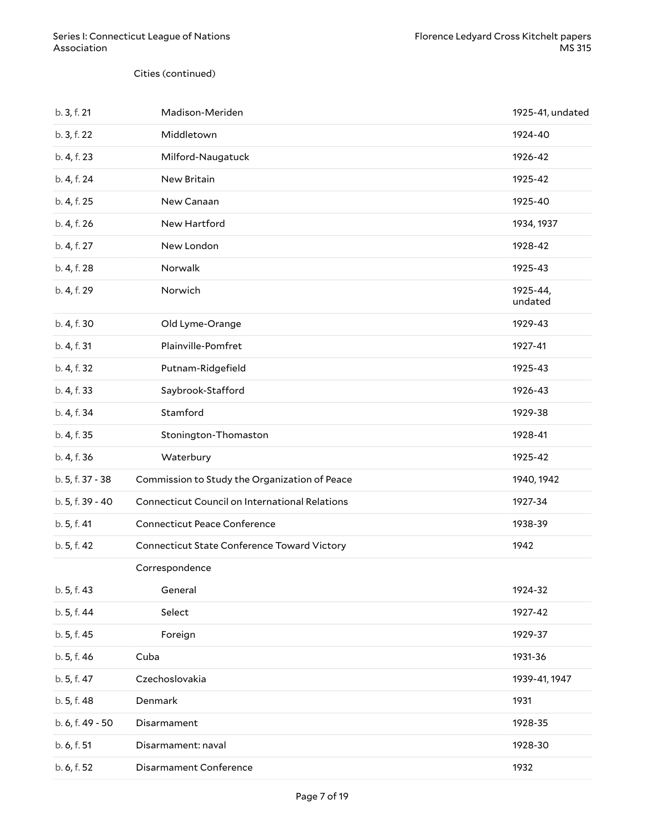Cities (continued)

| b. 3, f. 21      | Madison-Meriden                                | 1925-41, undated    |
|------------------|------------------------------------------------|---------------------|
| b. 3, f. 22      | Middletown                                     | 1924-40             |
| b. 4, f. 23      | Milford-Naugatuck                              | 1926-42             |
| b. 4, f. 24      | New Britain                                    | 1925-42             |
| b. 4, f. 25      | New Canaan                                     | 1925-40             |
| b. 4, f. 26      | New Hartford                                   | 1934, 1937          |
| b. 4, f. 27      | New London                                     | 1928-42             |
| b. 4, f. 28      | Norwalk                                        | 1925-43             |
| b. 4, f. 29      | Norwich                                        | 1925-44,<br>undated |
| b. 4, f. 30      | Old Lyme-Orange                                | 1929-43             |
| b. 4, f. 31      | Plainville-Pomfret                             | 1927-41             |
| b. 4, f. 32      | Putnam-Ridgefield                              | 1925-43             |
| b. 4, f. 33      | Saybrook-Stafford                              | 1926-43             |
| b. 4, f. 34      | Stamford                                       | 1929-38             |
| b. 4, f. 35      | Stonington-Thomaston                           | 1928-41             |
| b. 4, f. 36      | Waterbury                                      | 1925-42             |
| b. 5, f. 37 - 38 | Commission to Study the Organization of Peace  | 1940, 1942          |
| b. 5, f. 39 - 40 | Connecticut Council on International Relations | 1927-34             |
| b. 5, f. 41      | <b>Connecticut Peace Conference</b>            | 1938-39             |
| b. 5, f. 42      | Connecticut State Conference Toward Victory    | 1942                |
|                  | Correspondence                                 |                     |
| b. 5, f. 43      | General                                        | 1924-32             |
| b. 5, f. 44      | Select                                         | 1927-42             |
| b. 5, f. 45      | Foreign                                        | 1929-37             |
| b. 5, f. 46      | Cuba                                           | 1931-36             |
| b. 5, f. 47      | Czechoslovakia                                 | 1939-41, 1947       |
| b. 5, f. 48      | Denmark                                        | 1931                |
| b. 6, f. 49 - 50 | Disarmament                                    | 1928-35             |
| b. 6, f. 51      | Disarmament: naval                             | 1928-30             |
| b. 6, f. 52      | Disarmament Conference                         | 1932                |
|                  |                                                |                     |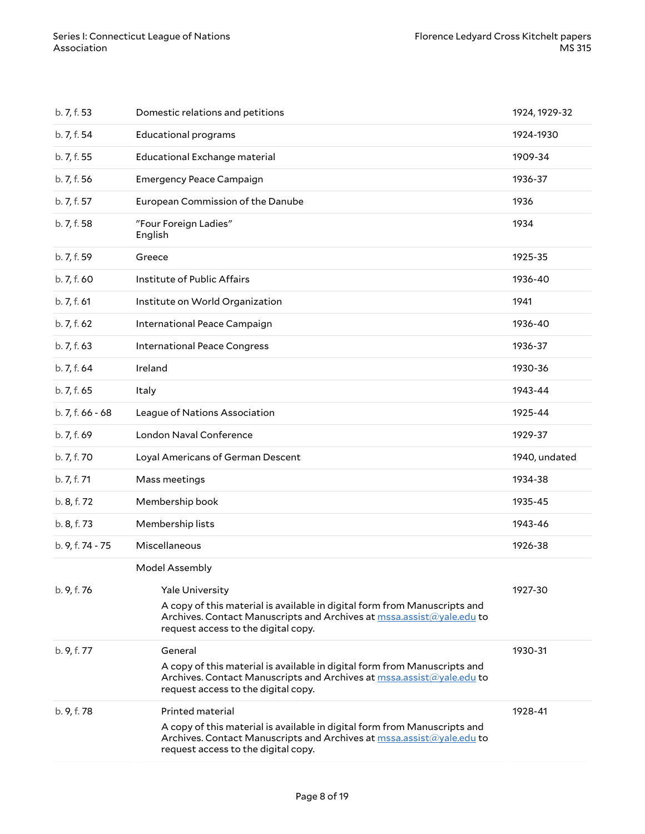| b. 7, f. 53      | Domestic relations and petitions                                                                                                                                                                                                      | 1924, 1929-32 |
|------------------|---------------------------------------------------------------------------------------------------------------------------------------------------------------------------------------------------------------------------------------|---------------|
| b. 7, f. 54      | <b>Educational programs</b>                                                                                                                                                                                                           | 1924-1930     |
| b. 7, f. 55      | Educational Exchange material                                                                                                                                                                                                         | 1909-34       |
| b. 7, f. 56      | <b>Emergency Peace Campaign</b>                                                                                                                                                                                                       | 1936-37       |
| b. 7, f. 57      | European Commission of the Danube                                                                                                                                                                                                     | 1936          |
| b. 7, f. 58      | "Four Foreign Ladies"<br>English                                                                                                                                                                                                      | 1934          |
| b. 7, f. 59      | Greece                                                                                                                                                                                                                                | 1925-35       |
| b. 7, f. 60      | Institute of Public Affairs                                                                                                                                                                                                           | 1936-40       |
| b. 7, f. 61      | Institute on World Organization                                                                                                                                                                                                       | 1941          |
| b. 7, f. 62      | International Peace Campaign                                                                                                                                                                                                          | 1936-40       |
| b. 7, f. 63      | <b>International Peace Congress</b>                                                                                                                                                                                                   | 1936-37       |
| b. 7, f. 64      | Ireland                                                                                                                                                                                                                               | 1930-36       |
| b. 7, f. 65      | Italy                                                                                                                                                                                                                                 | 1943-44       |
| $b.7, f.66 - 68$ | League of Nations Association                                                                                                                                                                                                         | 1925-44       |
| b. 7, f. 69      | London Naval Conference                                                                                                                                                                                                               | 1929-37       |
| b. 7, f. 70      | Loyal Americans of German Descent                                                                                                                                                                                                     | 1940, undated |
| b. 7, f. 71      | Mass meetings                                                                                                                                                                                                                         | 1934-38       |
| b. 8, f. 72      | Membership book                                                                                                                                                                                                                       | 1935-45       |
| b. 8, f. 73      | Membership lists                                                                                                                                                                                                                      | 1943-46       |
| b. 9, f. 74 - 75 | Miscellaneous                                                                                                                                                                                                                         | 1926-38       |
| b. 9, f. 76      | Model Assembly<br><b>Yale University</b><br>A copy of this material is available in digital form from Manuscripts and<br>Archives. Contact Manuscripts and Archives at mssa.assist@yale.edu to<br>request access to the digital copy. | 1927-30       |
| b. 9, f. 77      | General<br>A copy of this material is available in digital form from Manuscripts and<br>Archives. Contact Manuscripts and Archives at mssa.assist@yale.edu to<br>request access to the digital copy.                                  | 1930-31       |
| b. 9, f. 78      | Printed material<br>A copy of this material is available in digital form from Manuscripts and<br>Archives. Contact Manuscripts and Archives at mssa.assist@yale.edu to<br>request access to the digital copy.                         | 1928-41       |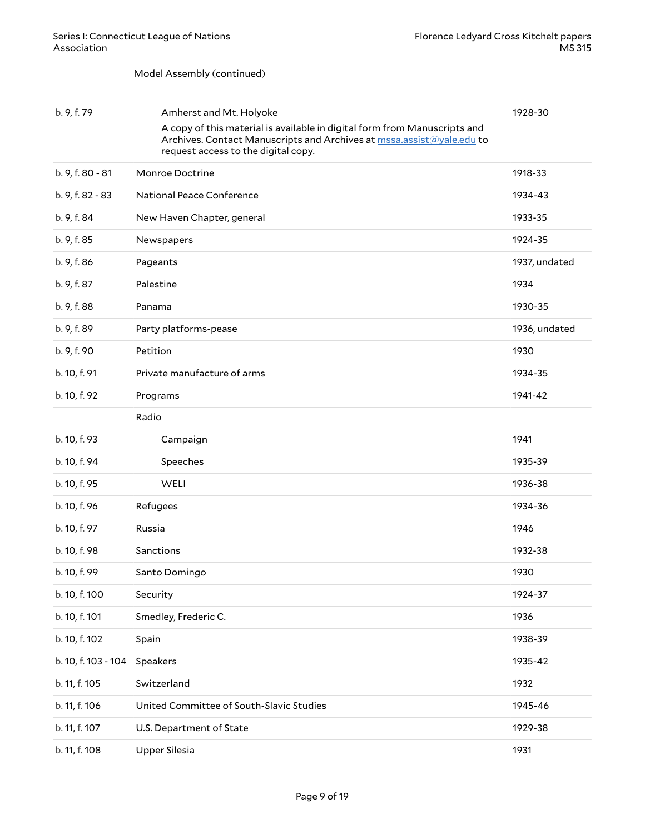#### Model Assembly (continued)

| b. 9, f. 79         | Amherst and Mt. Holyoke                                                                                                                                                                   | 1928-30       |
|---------------------|-------------------------------------------------------------------------------------------------------------------------------------------------------------------------------------------|---------------|
|                     | A copy of this material is available in digital form from Manuscripts and<br>Archives. Contact Manuscripts and Archives at mssa.assist@yale.edu to<br>request access to the digital copy. |               |
| b. 9, f. 80 - 81    | Monroe Doctrine                                                                                                                                                                           | 1918-33       |
| b. 9, f. 82 - 83    | <b>National Peace Conference</b>                                                                                                                                                          | 1934-43       |
| b. 9, f. 84         | New Haven Chapter, general                                                                                                                                                                | 1933-35       |
| b. 9, f. 85         | Newspapers                                                                                                                                                                                | 1924-35       |
| b. 9, f. 86         | Pageants                                                                                                                                                                                  | 1937, undated |
| b. 9, f. 87         | Palestine                                                                                                                                                                                 | 1934          |
| b. 9, f. 88         | Panama                                                                                                                                                                                    | 1930-35       |
| b. 9, f. 89         | Party platforms-pease                                                                                                                                                                     | 1936, undated |
| b. 9, f. 90         | Petition                                                                                                                                                                                  | 1930          |
| b. 10, f. 91        | Private manufacture of arms                                                                                                                                                               | 1934-35       |
| b. 10, f. 92        | Programs                                                                                                                                                                                  | 1941-42       |
|                     | Radio                                                                                                                                                                                     |               |
| b. 10, f. 93        | Campaign                                                                                                                                                                                  | 1941          |
| b. 10, f. 94        | Speeches                                                                                                                                                                                  | 1935-39       |
| b. 10, f. 95        | WELI                                                                                                                                                                                      | 1936-38       |
| b. 10, f. 96        | Refugees                                                                                                                                                                                  | 1934-36       |
| b. 10, f. 97        | Russia                                                                                                                                                                                    | 1946          |
| b. 10, f. 98        | Sanctions                                                                                                                                                                                 | 1932-38       |
| b. 10, f. 99        | Santo Domingo                                                                                                                                                                             | 1930          |
| b. 10, f. 100       | Security                                                                                                                                                                                  | 1924-37       |
| b. 10, f. 101       | Smedley, Frederic C.                                                                                                                                                                      | 1936          |
| b. 10, f. 102       | Spain                                                                                                                                                                                     | 1938-39       |
| b. 10, f. 103 - 104 | Speakers                                                                                                                                                                                  | 1935-42       |
| b. 11, f. 105       | Switzerland                                                                                                                                                                               | 1932          |
| b. 11, f. 106       | United Committee of South-Slavic Studies                                                                                                                                                  | 1945-46       |
| b. 11, f. 107       | U.S. Department of State                                                                                                                                                                  | 1929-38       |
| b. 11, f. 108       | <b>Upper Silesia</b>                                                                                                                                                                      | 1931          |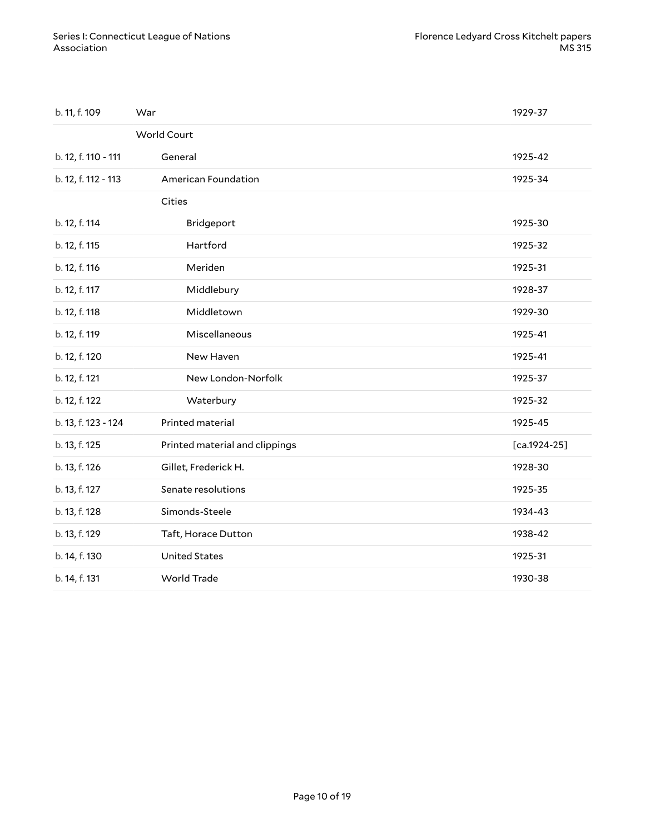| b. 11, f. 109       | War                            | 1929-37        |
|---------------------|--------------------------------|----------------|
|                     | World Court                    |                |
| b. 12, f. 110 - 111 | General                        | 1925-42        |
| b. 12, f. 112 - 113 | American Foundation            | 1925-34        |
|                     | Cities                         |                |
| b. 12, f. 114       | Bridgeport                     | 1925-30        |
| b. 12, f. 115       | Hartford                       | 1925-32        |
| b. 12, f. 116       | Meriden                        | 1925-31        |
| b. 12, f. 117       | Middlebury                     | 1928-37        |
| b. 12, f. 118       | Middletown                     | 1929-30        |
| b. 12, f. 119       | Miscellaneous                  | 1925-41        |
| b. 12, f. 120       | New Haven                      | 1925-41        |
| b. 12, f. 121       | New London-Norfolk             | 1925-37        |
| b. 12, f. 122       | Waterbury                      | 1925-32        |
| b. 13, f. 123 - 124 | Printed material               | 1925-45        |
| b. 13, f. 125       | Printed material and clippings | $[ca.1924-25]$ |
| b. 13, f. 126       | Gillet, Frederick H.           | 1928-30        |
| b. 13, f. 127       | Senate resolutions             | 1925-35        |
| b. 13, f. 128       | Simonds-Steele                 | 1934-43        |
| b. 13, f. 129       | Taft, Horace Dutton            | 1938-42        |
| b. 14, f. 130       | <b>United States</b>           | 1925-31        |
| b. 14, f. 131       | <b>World Trade</b>             | 1930-38        |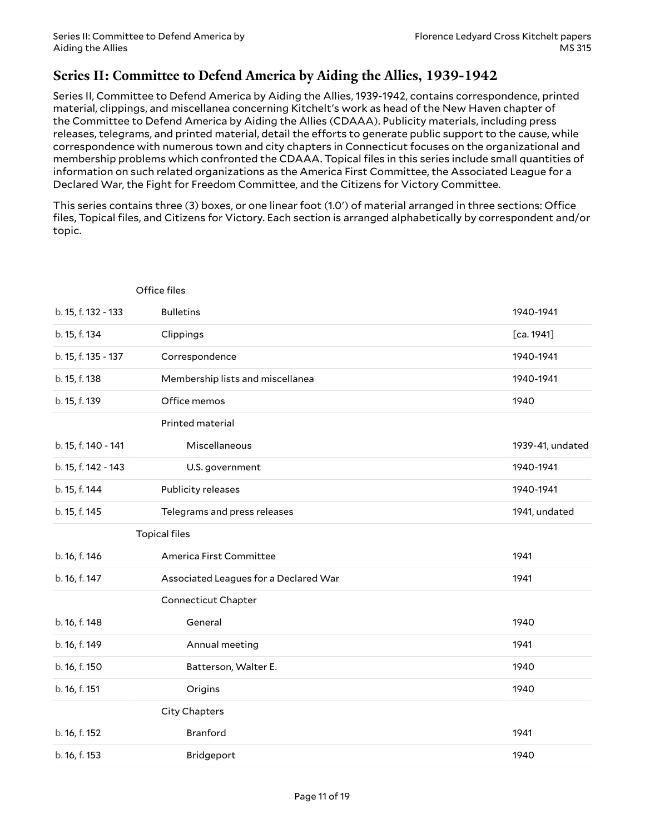# <span id="page-10-0"></span>**Series II: Committee to Defend America by Aiding the Allies, 1939-1942**

Series II, Committee to Defend America by Aiding the Allies, 1939-1942, contains correspondence, printed material, clippings, and miscellanea concerning Kitchelt's work as head of the New Haven chapter of the Committee to Defend America by Aiding the Allies (CDAAA). Publicity materials, including press releases, telegrams, and printed material, detail the efforts to generate public support to the cause, while correspondence with numerous town and city chapters in Connecticut focuses on the organizational and membership problems which confronted the CDAAA. Topical files in this series include small quantities of information on such related organizations as the America First Committee, the Associated League for a Declared War, the Fight for Freedom Committee, and the Citizens for Victory Committee.

This series contains three (3) boxes, or one linear foot (1.0') of material arranged in three sections: Office files, Topical files, and Citizens for Victory. Each section is arranged alphabetically by correspondent and/or topic.

|                     | Office files                          |                  |
|---------------------|---------------------------------------|------------------|
| b. 15, f. 132 - 133 | <b>Bulletins</b>                      | 1940-1941        |
| b. 15, f. 134       | Clippings                             | [ca. 1941]       |
| b. 15, f. 135 - 137 | Correspondence                        | 1940-1941        |
| b. 15, f. 138       | Membership lists and miscellanea      | 1940-1941        |
| b. 15, f. 139       | Office memos                          | 1940             |
|                     | Printed material                      |                  |
| b. 15, f. 140 - 141 | Miscellaneous                         | 1939-41, undated |
| b. 15, f. 142 - 143 | U.S. government                       | 1940-1941        |
| b. 15, f. 144       | Publicity releases                    | 1940-1941        |
| b. 15, f. 145       | Telegrams and press releases          | 1941, undated    |
|                     | <b>Topical files</b>                  |                  |
| b. 16, f. 146       | America First Committee               | 1941             |
| b. 16, f. 147       |                                       |                  |
|                     | Associated Leagues for a Declared War | 1941             |
|                     | <b>Connecticut Chapter</b>            |                  |
| b. 16, f. 148       | General                               | 1940             |
| b. 16, f. 149       | Annual meeting                        | 1941             |
| b. 16, f. 150       | Batterson, Walter E.                  | 1940             |
| b. 16, f. 151       | Origins                               | 1940             |
|                     | City Chapters                         |                  |
| b. 16, f. 152       | <b>Branford</b>                       | 1941             |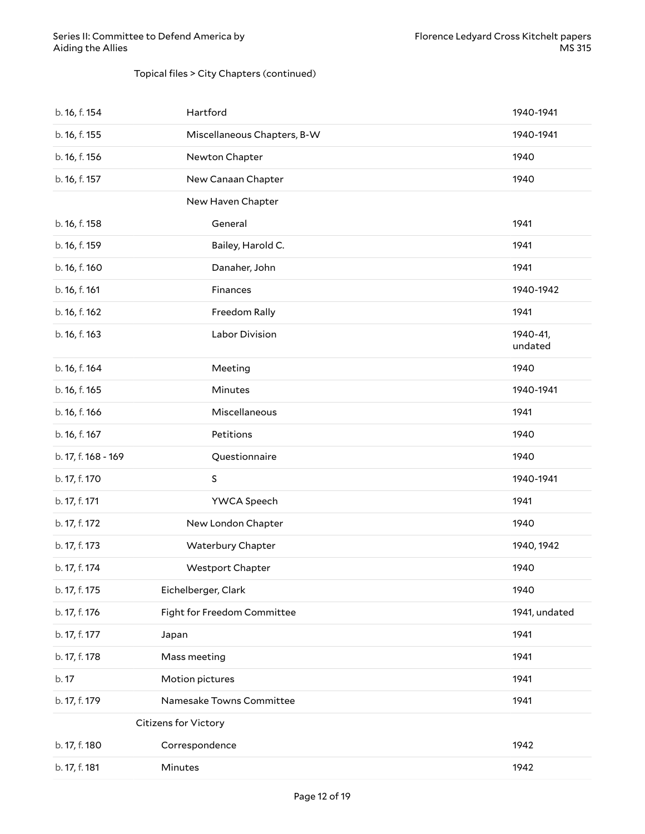#### Topical files > City Chapters (continued)

| b. 16, f. 154       | Hartford                    | 1940-1941           |
|---------------------|-----------------------------|---------------------|
| b. 16, f. 155       | Miscellaneous Chapters, B-W | 1940-1941           |
| b. 16, f. 156       | Newton Chapter              | 1940                |
| b. 16, f. 157       | New Canaan Chapter          | 1940                |
|                     | New Haven Chapter           |                     |
| b. 16, f. 158       | General                     | 1941                |
| b. 16, f. 159       | Bailey, Harold C.           | 1941                |
| b. 16, f. 160       | Danaher, John               | 1941                |
| b. 16, f. 161       | Finances                    | 1940-1942           |
| b. 16, f. 162       | Freedom Rally               | 1941                |
| b. 16, f. 163       | Labor Division              | 1940-41,<br>undated |
| b. 16, f. 164       | Meeting                     | 1940                |
| b. 16, f. 165       | Minutes                     | 1940-1941           |
| b. 16, f. 166       | Miscellaneous               | 1941                |
| b. 16, f. 167       | Petitions                   | 1940                |
| b. 17, f. 168 - 169 | Questionnaire               | 1940                |
| b. 17, f. 170       | $\mathsf S$                 | 1940-1941           |
| b. 17, f. 171       | YWCA Speech                 | 1941                |
| b. 17, f. 172       | New London Chapter          | 1940                |
| b. 17, f. 173       | Waterbury Chapter           | 1940, 1942          |
| b. 17, f. 174       | Westport Chapter            | 1940                |
| b. 17, f. 175       | Eichelberger, Clark         | 1940                |
| b. 17, f. 176       | Fight for Freedom Committee | 1941, undated       |
| b. 17, f. 177       | Japan                       | 1941                |
| b. 17, f. 178       | Mass meeting                | 1941                |
| b. 17               | Motion pictures             | 1941                |
| b. 17, f. 179       | Namesake Towns Committee    | 1941                |
|                     | Citizens for Victory        |                     |
| b. 17, f. 180       | Correspondence              | 1942                |
| b. 17, f. 181       | Minutes                     | 1942                |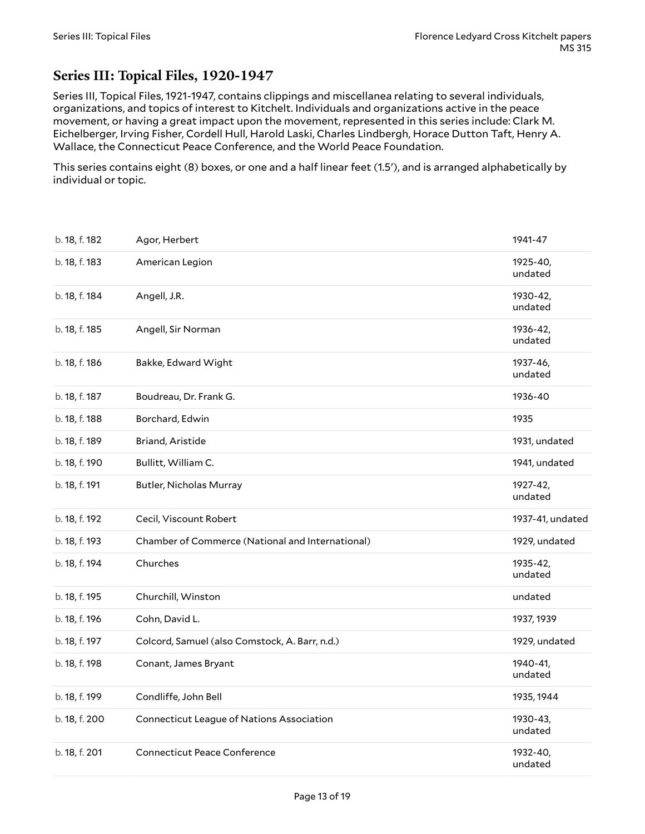# <span id="page-12-0"></span>**Series III: Topical Files, 1920-1947**

Series III, Topical Files, 1921-1947, contains clippings and miscellanea relating to several individuals, organizations, and topics of interest to Kitchelt. Individuals and organizations active in the peace movement, or having a great impact upon the movement, represented in this series include: Clark M. Eichelberger, Irving Fisher, Cordell Hull, Harold Laski, Charles Lindbergh, Horace Dutton Taft, Henry A. Wallace, the Connecticut Peace Conference, and the World Peace Foundation.

This series contains eight (8) boxes, or one and a half linear feet (1.5'), and is arranged alphabetically by individual or topic.

| b. 18, f. 182 | Agor, Herbert                                    | 1941-47             |
|---------------|--------------------------------------------------|---------------------|
| b. 18, f. 183 | American Legion                                  | 1925-40,<br>undated |
| b. 18, f. 184 | Angell, J.R.                                     | 1930-42,<br>undated |
| b. 18, f. 185 | Angell, Sir Norman                               | 1936-42,<br>undated |
| b. 18, f. 186 | Bakke, Edward Wight                              | 1937-46,<br>undated |
| b. 18, f. 187 | Boudreau, Dr. Frank G.                           | 1936-40             |
| b. 18, f. 188 | Borchard, Edwin                                  | 1935                |
| b. 18, f. 189 | Briand, Aristide                                 | 1931, undated       |
| b. 18, f. 190 | Bullitt, William C.                              | 1941, undated       |
| b. 18, f. 191 | Butler, Nicholas Murray                          | 1927-42,<br>undated |
| b. 18, f. 192 | Cecil, Viscount Robert                           | 1937-41, undated    |
| b. 18, f. 193 | Chamber of Commerce (National and International) | 1929, undated       |
| b. 18, f. 194 | Churches                                         | 1935-42,<br>undated |
| b. 18, f. 195 | Churchill, Winston                               | undated             |
| b. 18, f. 196 | Cohn, David L.                                   | 1937, 1939          |
| b. 18, f. 197 | Colcord, Samuel (also Comstock, A. Barr, n.d.)   | 1929, undated       |
| b. 18, f. 198 | Conant, James Bryant                             | 1940-41,<br>undated |
| b. 18, f. 199 | Condliffe, John Bell                             | 1935, 1944          |
| b. 18, f. 200 | <b>Connecticut League of Nations Association</b> | 1930-43,<br>undated |
| b. 18, f. 201 | <b>Connecticut Peace Conference</b>              | 1932-40,<br>undated |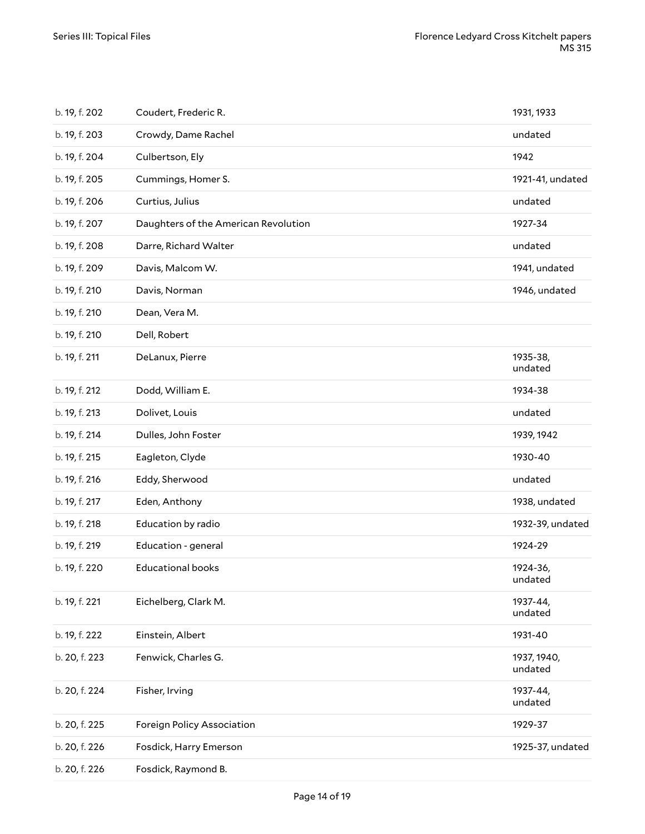| b. 19, f. 202 | Coudert, Frederic R.                 | 1931, 1933             |
|---------------|--------------------------------------|------------------------|
| b. 19, f. 203 | Crowdy, Dame Rachel                  | undated                |
| b. 19, f. 204 | Culbertson, Ely                      | 1942                   |
| b. 19, f. 205 | Cummings, Homer S.                   | 1921-41, undated       |
| b. 19, f. 206 | Curtius, Julius                      | undated                |
| b. 19, f. 207 | Daughters of the American Revolution | 1927-34                |
| b. 19, f. 208 | Darre, Richard Walter                | undated                |
| b. 19, f. 209 | Davis, Malcom W.                     | 1941, undated          |
| b. 19, f. 210 | Davis, Norman                        | 1946, undated          |
| b. 19, f. 210 | Dean, Vera M.                        |                        |
| b. 19, f. 210 | Dell, Robert                         |                        |
| b. 19, f. 211 | DeLanux, Pierre                      | 1935-38,<br>undated    |
| b. 19, f. 212 | Dodd, William E.                     | 1934-38                |
| b. 19, f. 213 | Dolivet, Louis                       | undated                |
| b. 19, f. 214 | Dulles, John Foster                  | 1939, 1942             |
| b. 19, f. 215 | Eagleton, Clyde                      | 1930-40                |
| b. 19, f. 216 | Eddy, Sherwood                       | undated                |
| b. 19, f. 217 | Eden, Anthony                        | 1938, undated          |
| b. 19, f. 218 | Education by radio                   | 1932-39, undated       |
| b. 19, f. 219 | Education - general                  | 1924-29                |
| b. 19, f. 220 | <b>Educational books</b>             | 1924-36,<br>undated    |
| b. 19, f. 221 | Eichelberg, Clark M.                 | 1937-44,<br>undated    |
| b. 19, f. 222 | Einstein, Albert                     | 1931-40                |
| b. 20, f. 223 | Fenwick, Charles G.                  | 1937, 1940,<br>undated |
| b. 20, f. 224 | Fisher, Irving                       | 1937-44,<br>undated    |
| b. 20, f. 225 | Foreign Policy Association           | 1929-37                |
| b. 20, f. 226 | Fosdick, Harry Emerson               | 1925-37, undated       |
| b. 20, f. 226 | Fosdick, Raymond B.                  |                        |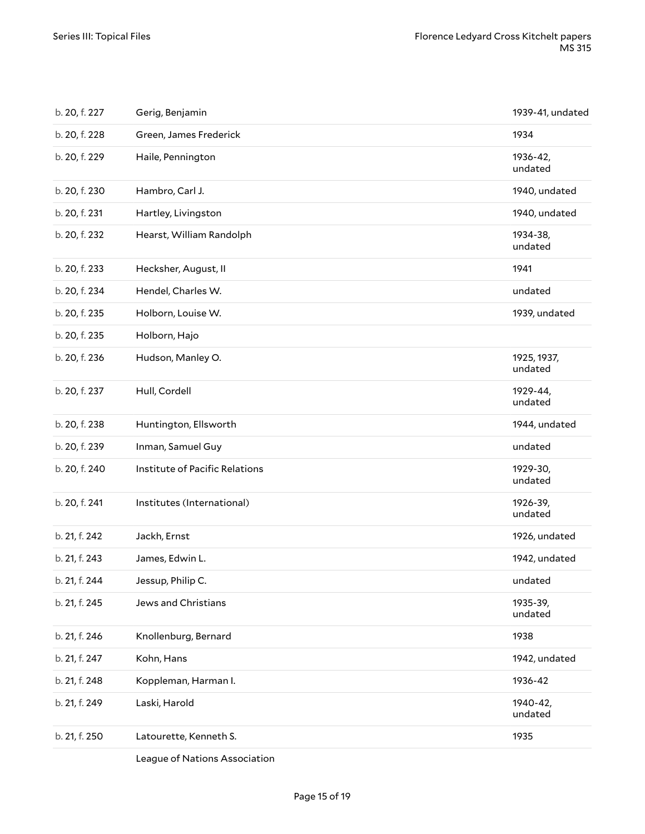| b. 20, f. 227 | Gerig, Benjamin                | 1939-41, undated       |
|---------------|--------------------------------|------------------------|
| b. 20, f. 228 | Green, James Frederick         | 1934                   |
| b. 20, f. 229 | Haile, Pennington              | 1936-42,<br>undated    |
| b. 20, f. 230 | Hambro, Carl J.                | 1940, undated          |
| b. 20, f. 231 | Hartley, Livingston            | 1940, undated          |
| b. 20, f. 232 | Hearst, William Randolph       | 1934-38,<br>undated    |
| b. 20, f. 233 | Hecksher, August, II           | 1941                   |
| b. 20, f. 234 | Hendel, Charles W.             | undated                |
| b. 20, f. 235 | Holborn, Louise W.             | 1939, undated          |
| b. 20, f. 235 | Holborn, Hajo                  |                        |
| b. 20, f. 236 | Hudson, Manley O.              | 1925, 1937,<br>undated |
| b. 20, f. 237 | Hull, Cordell                  | 1929-44,<br>undated    |
| b. 20, f. 238 | Huntington, Ellsworth          | 1944, undated          |
| b. 20, f. 239 | Inman, Samuel Guy              | undated                |
| b. 20, f. 240 | Institute of Pacific Relations | 1929-30,<br>undated    |
| b. 20, f. 241 | Institutes (International)     | 1926-39,<br>undated    |
| b. 21, f. 242 | Jackh, Ernst                   | 1926, undated          |
| b. 21, f. 243 | James, Edwin L.                | 1942, undated          |
| b. 21, f. 244 | Jessup, Philip C.              | undated                |
| b. 21, f. 245 | Jews and Christians            | 1935-39,<br>undated    |
| b. 21, f. 246 | Knollenburg, Bernard           | 1938                   |
| b. 21, f. 247 | Kohn, Hans                     | 1942, undated          |
| b. 21, f. 248 | Koppleman, Harman I.           | 1936-42                |
| b. 21, f. 249 | Laski, Harold                  | 1940-42,<br>undated    |
| b. 21, f. 250 | Latourette, Kenneth S.         | 1935                   |
|               |                                |                        |

League of Nations Association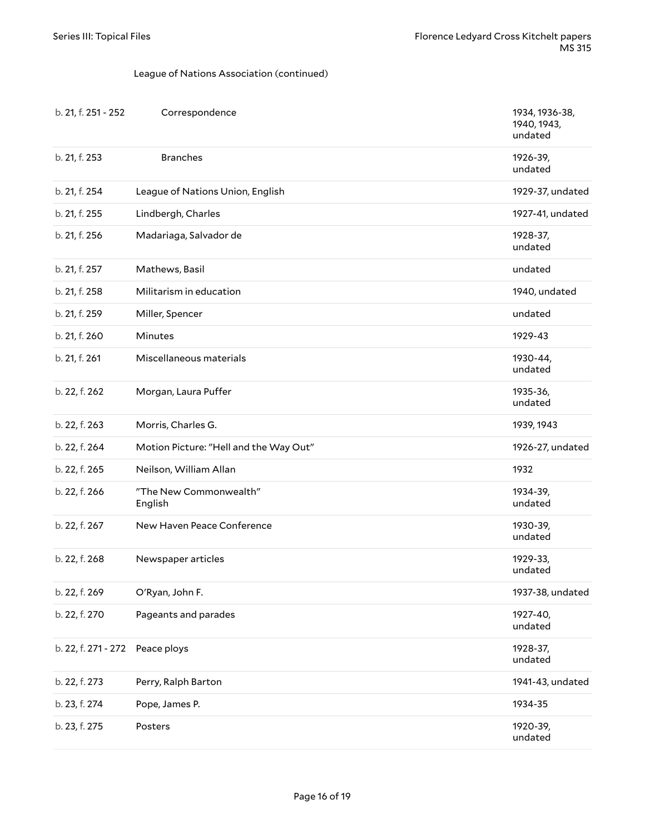#### League of Nations Association (continued)

| b. 21, f. 251 - 252 | Correspondence                         | 1934, 1936-38,<br>1940, 1943,<br>undated |
|---------------------|----------------------------------------|------------------------------------------|
| b. 21, f. 253       | <b>Branches</b>                        | 1926-39,<br>undated                      |
| b. 21, f. 254       | League of Nations Union, English       | 1929-37, undated                         |
| b. 21, f. 255       | Lindbergh, Charles                     | 1927-41, undated                         |
| b. 21, f. 256       | Madariaga, Salvador de                 | 1928-37,<br>undated                      |
| b. 21, f. 257       | Mathews, Basil                         | undated                                  |
| b. 21, f. 258       | Militarism in education                | 1940, undated                            |
| b. 21, f. 259       | Miller, Spencer                        | undated                                  |
| b. 21, f. 260       | Minutes                                | 1929-43                                  |
| b. 21, f. 261       | Miscellaneous materials                | 1930-44,<br>undated                      |
| b. 22, f. 262       | Morgan, Laura Puffer                   | 1935-36,<br>undated                      |
| b. 22, f. 263       | Morris, Charles G.                     | 1939, 1943                               |
| b. 22, f. 264       | Motion Picture: "Hell and the Way Out" | 1926-27, undated                         |
| b. 22, f. 265       | Neilson, William Allan                 | 1932                                     |
| b. 22, f. 266       | "The New Commonwealth"<br>English      | 1934-39,<br>undated                      |
| b. 22, f. 267       | New Haven Peace Conference             | 1930-39,<br>undated                      |
| b. 22, f. 268       | Newspaper articles                     | 1929-33,<br>undated                      |
| b. 22, f. 269       | O'Ryan, John F.                        | 1937-38, undated                         |
| b. 22, f. 270       | Pageants and parades                   | 1927-40,<br>undated                      |
| b. 22, f. 271 - 272 | Peace ploys                            | 1928-37,<br>undated                      |
| b. 22, f. 273       | Perry, Ralph Barton                    | 1941-43, undated                         |
| b. 23, f. 274       | Pope, James P.                         | 1934-35                                  |
| b. 23, f. 275       | Posters                                | 1920-39,<br>undated                      |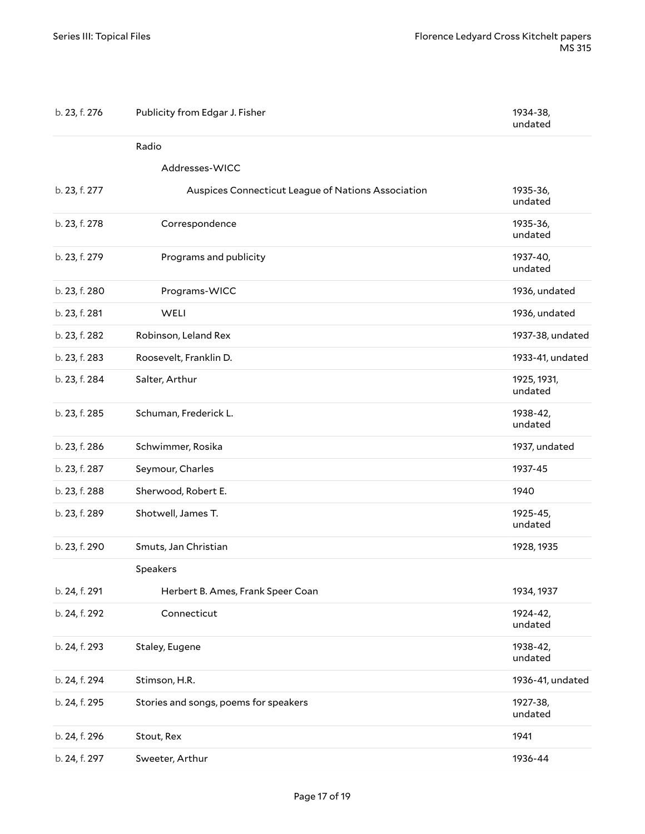| b. 23, f. 276 | Publicity from Edgar J. Fisher                     | 1934-38,<br>undated    |
|---------------|----------------------------------------------------|------------------------|
|               | Radio                                              |                        |
|               | Addresses-WICC                                     |                        |
| b. 23, f. 277 | Auspices Connecticut League of Nations Association | 1935-36,<br>undated    |
| b. 23, f. 278 | Correspondence                                     | 1935-36,<br>undated    |
| b. 23, f. 279 | Programs and publicity                             | 1937-40,<br>undated    |
| b. 23, f. 280 | Programs-WICC                                      | 1936, undated          |
| b. 23, f. 281 | WELI                                               | 1936, undated          |
| b. 23, f. 282 | Robinson, Leland Rex                               | 1937-38, undated       |
| b. 23, f. 283 | Roosevelt, Franklin D.                             | 1933-41, undated       |
| b. 23, f. 284 | Salter, Arthur                                     | 1925, 1931,<br>undated |
| b. 23, f. 285 | Schuman, Frederick L.                              | 1938-42,<br>undated    |
| b. 23, f. 286 | Schwimmer, Rosika                                  | 1937, undated          |
| b. 23, f. 287 | Seymour, Charles                                   | 1937-45                |
| b. 23, f. 288 | Sherwood, Robert E.                                | 1940                   |
| b. 23, f. 289 | Shotwell, James T.                                 | 1925-45,<br>undated    |
| b. 23, f. 290 | Smuts, Jan Christian                               | 1928, 1935             |
|               | Speakers                                           |                        |
| b. 24, f. 291 | Herbert B. Ames, Frank Speer Coan                  | 1934, 1937             |
| b. 24, f. 292 | Connecticut                                        | 1924-42,<br>undated    |
| b. 24, f. 293 | Staley, Eugene                                     | 1938-42,<br>undated    |
| b. 24, f. 294 | Stimson, H.R.                                      | 1936-41, undated       |
| b. 24, f. 295 | Stories and songs, poems for speakers              | 1927-38,<br>undated    |
| b. 24, f. 296 | Stout, Rex                                         | 1941                   |
| b. 24, f. 297 | Sweeter, Arthur                                    | 1936-44                |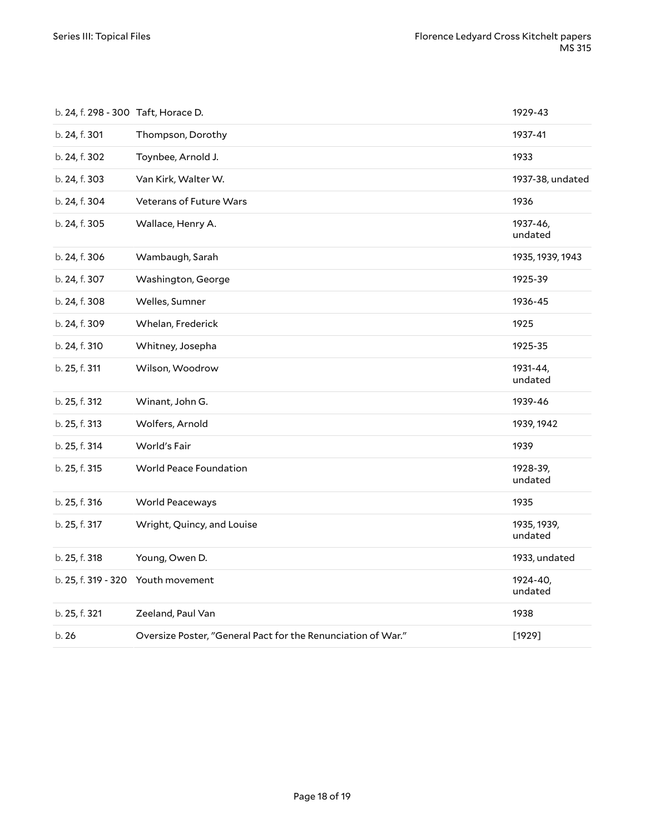| b. 24, f. 298 - 300 Taft, Horace D. |                                                              | 1929-43                |
|-------------------------------------|--------------------------------------------------------------|------------------------|
| b. 24, f. 301                       | Thompson, Dorothy                                            | 1937-41                |
| b. 24, f. 302                       | Toynbee, Arnold J.                                           | 1933                   |
| b. 24, f. 303                       | Van Kirk, Walter W.                                          | 1937-38, undated       |
| b. 24, f. 304                       | Veterans of Future Wars                                      | 1936                   |
| b. 24, f. 305                       | Wallace, Henry A.                                            | 1937-46,<br>undated    |
| b. 24, f. 306                       | Wambaugh, Sarah                                              | 1935, 1939, 1943       |
| b. 24, f. 307                       | Washington, George                                           | 1925-39                |
| b. 24, f. 308                       | Welles, Sumner                                               | 1936-45                |
| b. 24, f. 309                       | Whelan, Frederick                                            | 1925                   |
| b. 24, f. 310                       | Whitney, Josepha                                             | 1925-35                |
| b. 25, f. 311                       | Wilson, Woodrow                                              | 1931-44,<br>undated    |
| b. 25, f. 312                       | Winant, John G.                                              | 1939-46                |
| b. 25, f. 313                       | Wolfers, Arnold                                              | 1939, 1942             |
| b. 25, f. 314                       | World's Fair                                                 | 1939                   |
| b. 25, f. 315                       | World Peace Foundation                                       | 1928-39,<br>undated    |
| b. 25, f. 316                       | World Peaceways                                              | 1935                   |
| b. 25, f. 317                       | Wright, Quincy, and Louise                                   | 1935, 1939,<br>undated |
| b. 25, f. 318                       | Young, Owen D.                                               | 1933, undated          |
|                                     | b. 25, f. 319 - 320 Youth movement                           | 1924-40,<br>undated    |
| b. 25, f. 321                       | Zeeland, Paul Van                                            | 1938                   |
| b.26                                | Oversize Poster, "General Pact for the Renunciation of War." | [1929]                 |